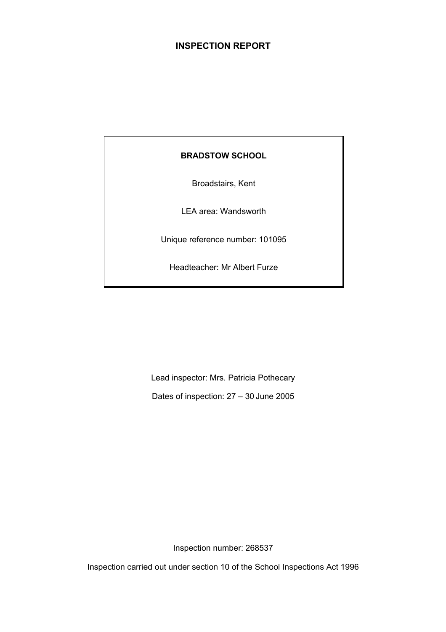# **INSPECTION REPORT**

# **BRADSTOW SCHOOL**

Broadstairs, Kent

LEA area: Wandsworth

Unique reference number: 101095

Headteacher: Mr Albert Furze

Lead inspector: Mrs. Patricia Pothecary

Dates of inspection: 27 – 30 June 2005

Inspection number: 268537

Inspection carried out under section 10 of the School Inspections Act 1996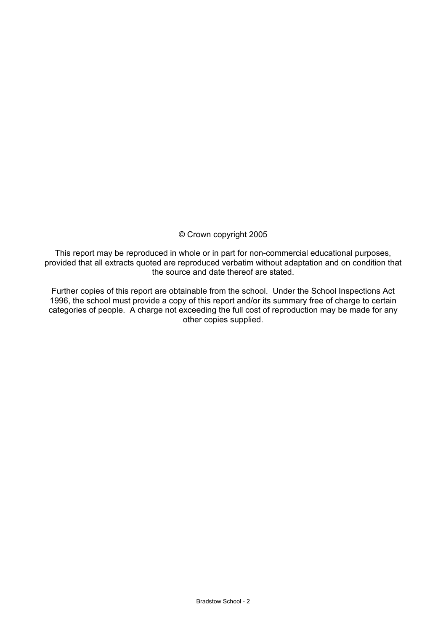# © Crown copyright 2005

This report may be reproduced in whole or in part for non-commercial educational purposes, provided that all extracts quoted are reproduced verbatim without adaptation and on condition that the source and date thereof are stated.

Further copies of this report are obtainable from the school. Under the School Inspections Act 1996, the school must provide a copy of this report and/or its summary free of charge to certain categories of people. A charge not exceeding the full cost of reproduction may be made for any other copies supplied.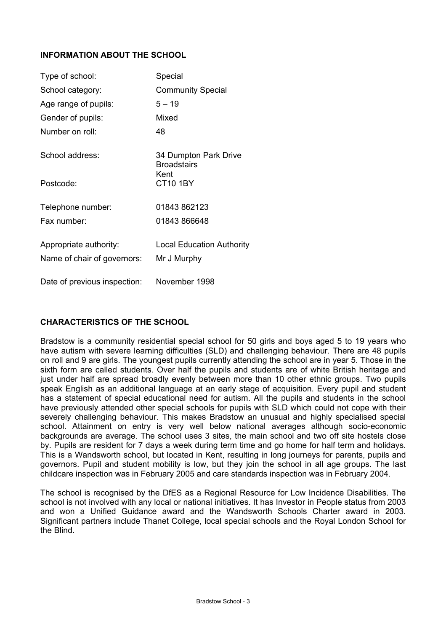# **INFORMATION ABOUT THE SCHOOL**

| Type of school:                                       | Special                                         |
|-------------------------------------------------------|-------------------------------------------------|
| School category:                                      | <b>Community Special</b>                        |
| Age range of pupils:                                  | $5 - 19$                                        |
| Gender of pupils:                                     | Mixed                                           |
| Number on roll:                                       | 48                                              |
| School address:                                       | 34 Dumpton Park Drive<br><b>Broadstairs</b>     |
| Postcode:                                             | Kent<br><b>CT10 1BY</b>                         |
| Telephone number:                                     | 01843 862123                                    |
| Fax number:                                           | 01843 866648                                    |
| Appropriate authority:<br>Name of chair of governors: | <b>Local Education Authority</b><br>Mr J Murphy |
| Date of previous inspection:                          | November 1998                                   |

# **CHARACTERISTICS OF THE SCHOOL**

Bradstow is a community residential special school for 50 girls and boys aged 5 to 19 years who have autism with severe learning difficulties (SLD) and challenging behaviour. There are 48 pupils on roll and 9 are girls. The youngest pupils currently attending the school are in year 5. Those in the sixth form are called students. Over half the pupils and students are of white British heritage and just under half are spread broadly evenly between more than 10 other ethnic groups. Two pupils speak English as an additional language at an early stage of acquisition. Every pupil and student has a statement of special educational need for autism. All the pupils and students in the school have previously attended other special schools for pupils with SLD which could not cope with their severely challenging behaviour. This makes Bradstow an unusual and highly specialised special school. Attainment on entry is very well below national averages although socio-economic backgrounds are average. The school uses 3 sites, the main school and two off site hostels close by. Pupils are resident for 7 days a week during term time and go home for half term and holidays. This is a Wandsworth school, but located in Kent, resulting in long journeys for parents, pupils and governors. Pupil and student mobility is low, but they join the school in all age groups. The last childcare inspection was in February 2005 and care standards inspection was in February 2004.

The school is recognised by the DfES as a Regional Resource for Low Incidence Disabilities. The school is not involved with any local or national initiatives. It has Investor in People status from 2003 and won a Unified Guidance award and the Wandsworth Schools Charter award in 2003. Significant partners include Thanet College, local special schools and the Royal London School for the Blind.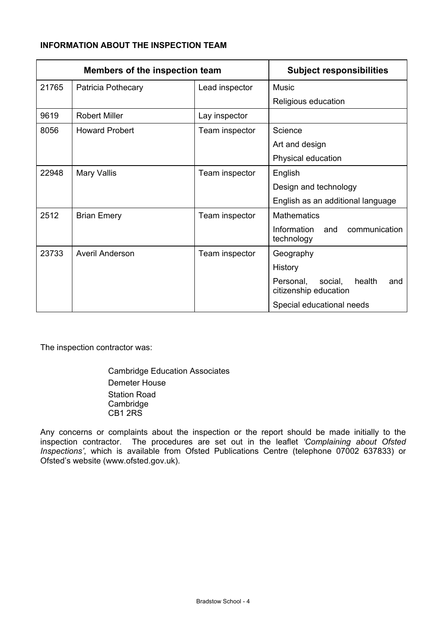# **INFORMATION ABOUT THE INSPECTION TEAM**

| Members of the inspection team |                       | <b>Subject responsibilities</b> |                                                                |  |  |
|--------------------------------|-----------------------|---------------------------------|----------------------------------------------------------------|--|--|
| 21765                          | Patricia Pothecary    | Lead inspector                  | Music                                                          |  |  |
|                                |                       |                                 | Religious education                                            |  |  |
| 9619                           | <b>Robert Miller</b>  | Lay inspector                   |                                                                |  |  |
| 8056                           | <b>Howard Probert</b> | Team inspector                  | Science                                                        |  |  |
|                                |                       |                                 | Art and design                                                 |  |  |
|                                |                       |                                 | Physical education                                             |  |  |
| 22948                          | <b>Mary Vallis</b>    | Team inspector                  | English                                                        |  |  |
|                                |                       |                                 | Design and technology                                          |  |  |
|                                |                       |                                 | English as an additional language                              |  |  |
| 2512                           | <b>Brian Emery</b>    | Team inspector                  | <b>Mathematics</b>                                             |  |  |
|                                |                       |                                 | Information<br>communication<br>and<br>technology              |  |  |
| 23733                          | Averil Anderson       | Team inspector                  | Geography                                                      |  |  |
|                                |                       |                                 | History                                                        |  |  |
|                                |                       |                                 | Personal,<br>social,<br>health<br>and<br>citizenship education |  |  |
|                                |                       |                                 | Special educational needs                                      |  |  |

The inspection contractor was:

 Cambridge Education Associates Demeter House Station Road Cambridge CB1 2RS

Any concerns or complaints about the inspection or the report should be made initially to the inspection contractor. The procedures are set out in the leaflet *'Complaining about Ofsted Inspections'*, which is available from Ofsted Publications Centre (telephone 07002 637833) or Ofsted's website (www.ofsted.gov.uk).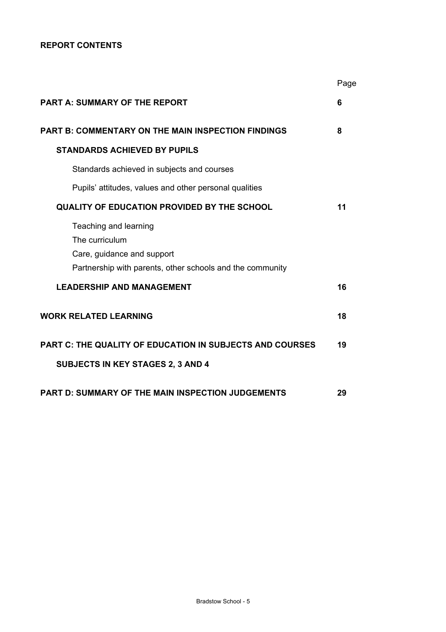# **REPORT CONTENTS**

|                                                                                                                                    | Page |
|------------------------------------------------------------------------------------------------------------------------------------|------|
| PART A: SUMMARY OF THE REPORT                                                                                                      | 6    |
| <b>PART B: COMMENTARY ON THE MAIN INSPECTION FINDINGS</b>                                                                          | 8    |
| <b>STANDARDS ACHIEVED BY PUPILS</b>                                                                                                |      |
| Standards achieved in subjects and courses                                                                                         |      |
| Pupils' attitudes, values and other personal qualities                                                                             |      |
| <b>QUALITY OF EDUCATION PROVIDED BY THE SCHOOL</b>                                                                                 | 11   |
| Teaching and learning<br>The curriculum<br>Care, guidance and support<br>Partnership with parents, other schools and the community |      |
| <b>LEADERSHIP AND MANAGEMENT</b>                                                                                                   | 16   |
| <b>WORK RELATED LEARNING</b>                                                                                                       | 18   |
| <b>PART C: THE QUALITY OF EDUCATION IN SUBJECTS AND COURSES</b>                                                                    | 19   |
| SUBJECTS IN KEY STAGES 2, 3 AND 4                                                                                                  |      |
| <b>PART D: SUMMARY OF THE MAIN INSPECTION JUDGEMENTS</b>                                                                           | 29   |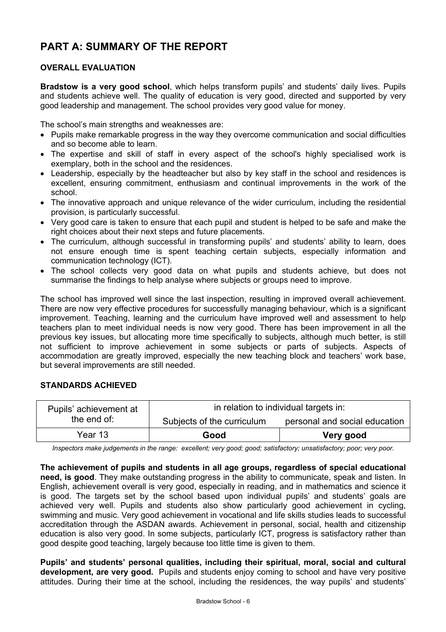# **PART A: SUMMARY OF THE REPORT**

# **OVERALL EVALUATION**

**Bradstow is a very good school**, which helps transform pupils' and students' daily lives. Pupils and students achieve well. The quality of education is very good, directed and supported by very good leadership and management. The school provides very good value for money.

The school's main strengths and weaknesses are:

- Pupils make remarkable progress in the way they overcome communication and social difficulties and so become able to learn.
- The expertise and skill of staff in every aspect of the school's highly specialised work is exemplary, both in the school and the residences.
- Leadership, especially by the headteacher but also by key staff in the school and residences is excellent, ensuring commitment, enthusiasm and continual improvements in the work of the school.
- The innovative approach and unique relevance of the wider curriculum, including the residential provision, is particularly successful.
- Very good care is taken to ensure that each pupil and student is helped to be safe and make the right choices about their next steps and future placements.
- The curriculum, although successful in transforming pupils' and students' ability to learn, does not ensure enough time is spent teaching certain subjects, especially information and communication technology (ICT).
- The school collects very good data on what pupils and students achieve, but does not summarise the findings to help analyse where subjects or groups need to improve.

The school has improved well since the last inspection, resulting in improved overall achievement. There are now very effective procedures for successfully managing behaviour, which is a significant improvement. Teaching, learning and the curriculum have improved well and assessment to help teachers plan to meet individual needs is now very good. There has been improvement in all the previous key issues, but allocating more time specifically to subjects, although much better, is still not sufficient to improve achievement in some subjects or parts of subjects. Aspects of accommodation are greatly improved, especially the new teaching block and teachers' work base, but several improvements are still needed.

# **STANDARDS ACHIEVED**

| Pupils' achievement at | in relation to individual targets in: |                               |  |  |
|------------------------|---------------------------------------|-------------------------------|--|--|
| the end of:            | Subjects of the curriculum            | personal and social education |  |  |
| Year 13                | Good                                  | Very good                     |  |  |

*Inspectors make judgements in the range: excellent; very good; good; satisfactory; unsatisfactory; poor; very poor.* 

#### **The achievement of pupils and students in all age groups, regardless of special educational**

**need, is good**. They make outstanding progress in the ability to communicate, speak and listen. In English, achievement overall is very good, especially in reading, and in mathematics and science it is good. The targets set by the school based upon individual pupils' and students' goals are achieved very well. Pupils and students also show particularly good achievement in cycling, swimming and music. Very good achievement in vocational and life skills studies leads to successful accreditation through the ASDAN awards. Achievement in personal, social, health and citizenship education is also very good. In some subjects, particularly ICT, progress is satisfactory rather than good despite good teaching, largely because too little time is given to them.

**Pupils' and students' personal qualities, including their spiritual, moral, social and cultural development, are very good.** Pupils and students enjoy coming to school and have very positive attitudes. During their time at the school, including the residences, the way pupils' and students'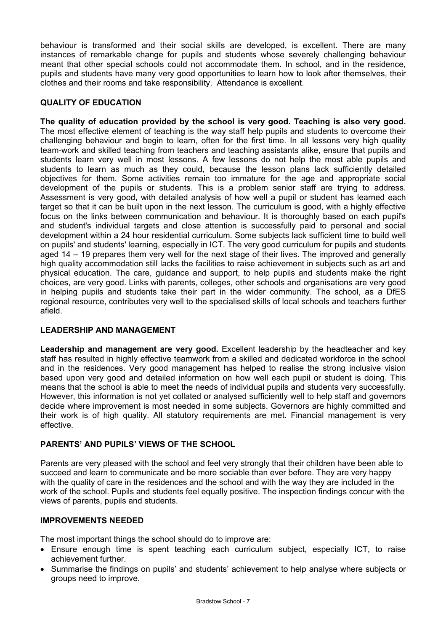behaviour is transformed and their social skills are developed, is excellent. There are many instances of remarkable change for pupils and students whose severely challenging behaviour meant that other special schools could not accommodate them. In school, and in the residence, pupils and students have many very good opportunities to learn how to look after themselves, their clothes and their rooms and take responsibility. Attendance is excellent.

# **QUALITY OF EDUCATION**

**The quality of education provided by the school is very good. Teaching is also very good.** The most effective element of teaching is the way staff help pupils and students to overcome their challenging behaviour and begin to learn, often for the first time. In all lessons very high quality team-work and skilled teaching from teachers and teaching assistants alike, ensure that pupils and students learn very well in most lessons. A few lessons do not help the most able pupils and students to learn as much as they could, because the lesson plans lack sufficiently detailed objectives for them. Some activities remain too immature for the age and appropriate social development of the pupils or students. This is a problem senior staff are trying to address. Assessment is very good, with detailed analysis of how well a pupil or student has learned each target so that it can be built upon in the next lesson. The curriculum is good, with a highly effective focus on the links between communication and behaviour. It is thoroughly based on each pupil's and student's individual targets and close attention is successfully paid to personal and social development within a 24 hour residential curriculum. Some subjects lack sufficient time to build well on pupils' and students' learning, especially in ICT. The very good curriculum for pupils and students aged 14 – 19 prepares them very well for the next stage of their lives. The improved and generally high quality accommodation still lacks the facilities to raise achievement in subjects such as art and physical education. The care, guidance and support, to help pupils and students make the right choices, are very good. Links with parents, colleges, other schools and organisations are very good in helping pupils and students take their part in the wider community. The school, as a DfES regional resource, contributes very well to the specialised skills of local schools and teachers further afield.

# **LEADERSHIP AND MANAGEMENT**

**Leadership and management are very good.** Excellent leadership by the headteacher and key staff has resulted in highly effective teamwork from a skilled and dedicated workforce in the school and in the residences. Very good management has helped to realise the strong inclusive vision based upon very good and detailed information on how well each pupil or student is doing. This means that the school is able to meet the needs of individual pupils and students very successfully. However, this information is not yet collated or analysed sufficiently well to help staff and governors decide where improvement is most needed in some subjects. Governors are highly committed and their work is of high quality. All statutory requirements are met. Financial management is very effective.

# **PARENTS' AND PUPILS' VIEWS OF THE SCHOOL**

Parents are very pleased with the school and feel very strongly that their children have been able to succeed and learn to communicate and be more sociable than ever before. They are very happy with the quality of care in the residences and the school and with the way they are included in the work of the school. Pupils and students feel equally positive. The inspection findings concur with the views of parents, pupils and students.

# **IMPROVEMENTS NEEDED**

The most important things the school should do to improve are:

- Ensure enough time is spent teaching each curriculum subject, especially ICT, to raise achievement further.
- Summarise the findings on pupils' and students' achievement to help analyse where subjects or groups need to improve.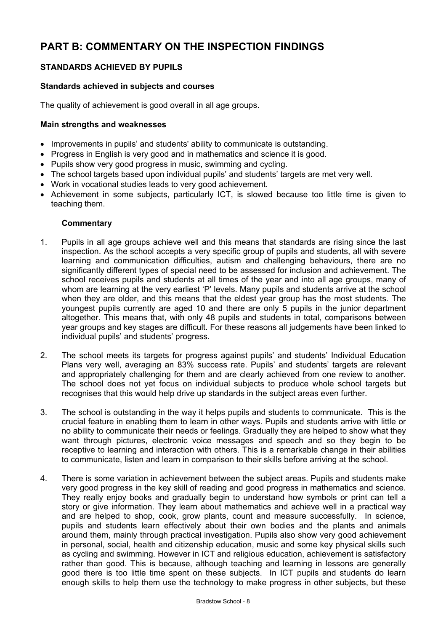# **PART B: COMMENTARY ON THE INSPECTION FINDINGS**

# **STANDARDS ACHIEVED BY PUPILS**

# **Standards achieved in subjects and courses**

The quality of achievement is good overall in all age groups.

#### **Main strengths and weaknesses**

- Improvements in pupils' and students' ability to communicate is outstanding.
- Progress in English is very good and in mathematics and science it is good.
- Pupils show very good progress in music, swimming and cycling.
- The school targets based upon individual pupils' and students' targets are met very well.
- Work in vocational studies leads to very good achievement.
- Achievement in some subjects, particularly ICT, is slowed because too little time is given to teaching them.

- 1. Pupils in all age groups achieve well and this means that standards are rising since the last inspection. As the school accepts a very specific group of pupils and students, all with severe learning and communication difficulties, autism and challenging behaviours, there are no significantly different types of special need to be assessed for inclusion and achievement. The school receives pupils and students at all times of the year and into all age groups, many of whom are learning at the very earliest 'P' levels. Many pupils and students arrive at the school when they are older, and this means that the eldest year group has the most students. The youngest pupils currently are aged 10 and there are only 5 pupils in the junior department altogether. This means that, with only 48 pupils and students in total, comparisons between year groups and key stages are difficult. For these reasons all judgements have been linked to individual pupils' and students' progress.
- 2. The school meets its targets for progress against pupils' and students' Individual Education Plans very well, averaging an 83% success rate. Pupils' and students' targets are relevant and appropriately challenging for them and are clearly achieved from one review to another. The school does not yet focus on individual subjects to produce whole school targets but recognises that this would help drive up standards in the subject areas even further.
- 3. The school is outstanding in the way it helps pupils and students to communicate. This is the crucial feature in enabling them to learn in other ways. Pupils and students arrive with little or no ability to communicate their needs or feelings. Gradually they are helped to show what they want through pictures, electronic voice messages and speech and so they begin to be receptive to learning and interaction with others. This is a remarkable change in their abilities to communicate, listen and learn in comparison to their skills before arriving at the school.
- 4. There is some variation in achievement between the subject areas. Pupils and students make very good progress in the key skill of reading and good progress in mathematics and science. They really enjoy books and gradually begin to understand how symbols or print can tell a story or give information. They learn about mathematics and achieve well in a practical way and are helped to shop, cook, grow plants, count and measure successfully. In science, pupils and students learn effectively about their own bodies and the plants and animals around them, mainly through practical investigation. Pupils also show very good achievement in personal, social, health and citizenship education, music and some key physical skills such as cycling and swimming. However in ICT and religious education, achievement is satisfactory rather than good. This is because, although teaching and learning in lessons are generally good there is too little time spent on these subjects. In ICT pupils and students do learn enough skills to help them use the technology to make progress in other subjects, but these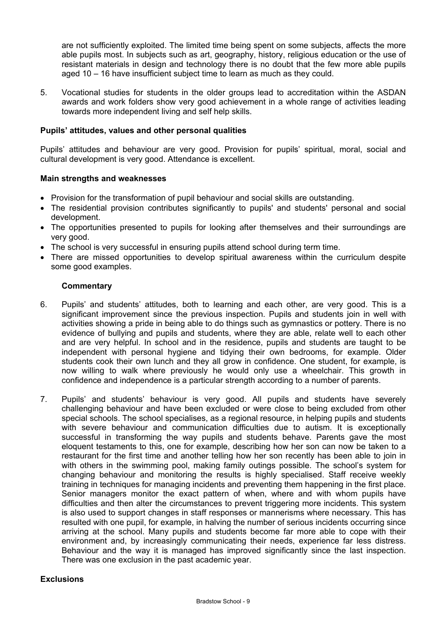are not sufficiently exploited. The limited time being spent on some subjects, affects the more able pupils most. In subjects such as art, geography, history, religious education or the use of resistant materials in design and technology there is no doubt that the few more able pupils aged 10 – 16 have insufficient subject time to learn as much as they could.

5. Vocational studies for students in the older groups lead to accreditation within the ASDAN awards and work folders show very good achievement in a whole range of activities leading towards more independent living and self help skills.

#### **Pupils' attitudes, values and other personal qualities**

Pupils' attitudes and behaviour are very good. Provision for pupils' spiritual, moral, social and cultural development is very good. Attendance is excellent.

#### **Main strengths and weaknesses**

- Provision for the transformation of pupil behaviour and social skills are outstanding.
- The residential provision contributes significantly to pupils' and students' personal and social development.
- The opportunities presented to pupils for looking after themselves and their surroundings are very good.
- The school is very successful in ensuring pupils attend school during term time.
- There are missed opportunities to develop spiritual awareness within the curriculum despite some good examples.

#### **Commentary**

- 6. Pupils' and students' attitudes, both to learning and each other, are very good. This is a significant improvement since the previous inspection. Pupils and students join in well with activities showing a pride in being able to do things such as gymnastics or pottery. There is no evidence of bullying and pupils and students, where they are able, relate well to each other and are very helpful. In school and in the residence, pupils and students are taught to be independent with personal hygiene and tidying their own bedrooms, for example. Older students cook their own lunch and they all grow in confidence. One student, for example, is now willing to walk where previously he would only use a wheelchair. This growth in confidence and independence is a particular strength according to a number of parents.
- 7. Pupils' and students' behaviour is very good. All pupils and students have severely challenging behaviour and have been excluded or were close to being excluded from other special schools. The school specialises, as a regional resource, in helping pupils and students with severe behaviour and communication difficulties due to autism. It is exceptionally successful in transforming the way pupils and students behave. Parents gave the most eloquent testaments to this, one for example, describing how her son can now be taken to a restaurant for the first time and another telling how her son recently has been able to join in with others in the swimming pool, making family outings possible. The school's system for changing behaviour and monitoring the results is highly specialised. Staff receive weekly training in techniques for managing incidents and preventing them happening in the first place. Senior managers monitor the exact pattern of when, where and with whom pupils have difficulties and then alter the circumstances to prevent triggering more incidents. This system is also used to support changes in staff responses or mannerisms where necessary. This has resulted with one pupil, for example, in halving the number of serious incidents occurring since arriving at the school. Many pupils and students become far more able to cope with their environment and, by increasingly communicating their needs, experience far less distress. Behaviour and the way it is managed has improved significantly since the last inspection. There was one exclusion in the past academic year.

#### **Exclusions**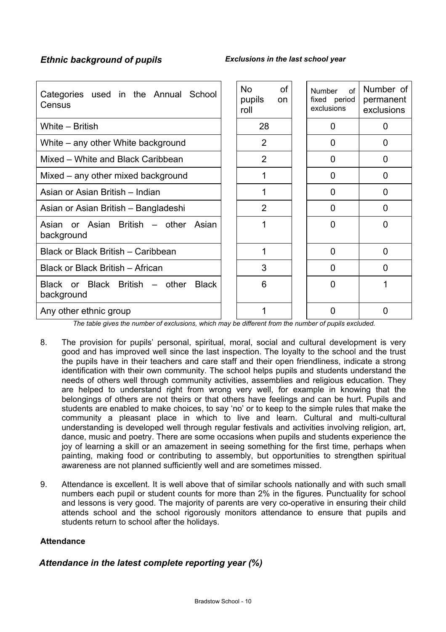| Categories used in the Annual School<br>Census               | <b>No</b><br>pupils<br>roll | <b>of</b><br><sub>on</sub> | $\Omega$<br>Number<br>fixed period<br>exclusions | Number of<br>permanent<br>exclusions |
|--------------------------------------------------------------|-----------------------------|----------------------------|--------------------------------------------------|--------------------------------------|
| White - British                                              | 28                          |                            | 0                                                | 0                                    |
| White – any other White background                           | 2                           |                            | 0                                                | O                                    |
| Mixed – White and Black Caribbean                            | $\overline{2}$              |                            | $\overline{0}$                                   | 0                                    |
| Mixed – any other mixed background                           |                             |                            | 0                                                | 0                                    |
| Asian or Asian British – Indian                              |                             |                            | O                                                | O                                    |
| Asian or Asian British - Bangladeshi                         | $\overline{2}$              |                            | $\overline{0}$                                   | 0                                    |
| Asian or Asian British – other Asian<br>background           |                             |                            | $\mathbf 0$                                      | 0                                    |
| Black or Black British – Caribbean                           | 1                           |                            | $\overline{0}$                                   | 0                                    |
| Black or Black British - African                             | 3                           |                            | <sup>0</sup>                                     | O                                    |
| Black or Black British – other<br><b>Black</b><br>background | 6                           |                            | $\Omega$                                         |                                      |
| Any other ethnic group                                       |                             |                            | 0                                                | O                                    |

*The table gives the number of exclusions, which may be different from the number of pupils excluded.*

- 8. The provision for pupils' personal, spiritual, moral, social and cultural development is very good and has improved well since the last inspection. The loyalty to the school and the trust the pupils have in their teachers and care staff and their open friendliness, indicate a strong identification with their own community. The school helps pupils and students understand the needs of others well through community activities, assemblies and religious education. They are helped to understand right from wrong very well, for example in knowing that the belongings of others are not theirs or that others have feelings and can be hurt. Pupils and students are enabled to make choices, to say 'no' or to keep to the simple rules that make the community a pleasant place in which to live and learn. Cultural and multi-cultural understanding is developed well through regular festivals and activities involving religion, art, dance, music and poetry. There are some occasions when pupils and students experience the joy of learning a skill or an amazement in seeing something for the first time, perhaps when painting, making food or contributing to assembly, but opportunities to strengthen spiritual awareness are not planned sufficiently well and are sometimes missed.
- 9. Attendance is excellent. It is well above that of similar schools nationally and with such small numbers each pupil or student counts for more than 2% in the figures. Punctuality for school and lessons is very good. The majority of parents are very co-operative in ensuring their child attends school and the school rigorously monitors attendance to ensure that pupils and students return to school after the holidays.

#### **Attendance**

# *Attendance in the latest complete reporting year (%)*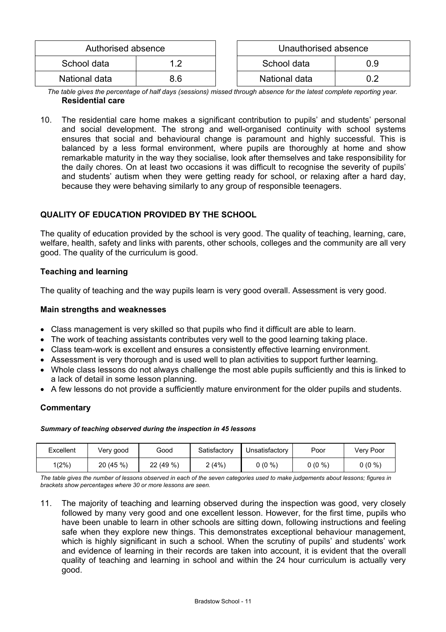| Authorised absence |     | Unauthorised absence |  |
|--------------------|-----|----------------------|--|
| School data        |     | School data<br>0.9   |  |
| National data      | 8.6 | National data        |  |

*The table gives the percentage of half days (sessions) missed through absence for the latest complete reporting year.*  **Residential care** 

10. The residential care home makes a significant contribution to pupils' and students' personal and social development. The strong and well-organised continuity with school systems ensures that social and behavioural change is paramount and highly successful. This is balanced by a less formal environment, where pupils are thoroughly at home and show remarkable maturity in the way they socialise, look after themselves and take responsibility for the daily chores. On at least two occasions it was difficult to recognise the severity of pupils' and students' autism when they were getting ready for school, or relaxing after a hard day, because they were behaving similarly to any group of responsible teenagers.

# **QUALITY OF EDUCATION PROVIDED BY THE SCHOOL**

The quality of education provided by the school is very good. The quality of teaching, learning, care, welfare, health, safety and links with parents, other schools, colleges and the community are all very good. The quality of the curriculum is good.

# **Teaching and learning**

The quality of teaching and the way pupils learn is very good overall. Assessment is very good.

#### **Main strengths and weaknesses**

- Class management is very skilled so that pupils who find it difficult are able to learn.
- The work of teaching assistants contributes very well to the good learning taking place.
- Class team-work is excellent and ensures a consistently effective learning environment.
- Assessment is very thorough and is used well to plan activities to support further learning.
- Whole class lessons do not always challenge the most able pupils sufficiently and this is linked to a lack of detail in some lesson planning.
- A few lessons do not provide a sufficiently mature environment for the older pupils and students.

# **Commentary**

#### *Summary of teaching observed during the inspection in 45 lessons*

| Excellent | Very good | Good    | Satisfactory | Unsatisfactory | Poor     | Verv Poor |
|-----------|-----------|---------|--------------|----------------|----------|-----------|
| $1(2\%)$  | 20 (45 %) | 22(49%) | (4% )        | 0 (0 %)        | $0(0\%)$ | $0(0\%)$  |

*The table gives the number of lessons observed in each of the seven categories used to make judgements about lessons; figures in brackets show percentages where 30 or more lessons are seen.* 

11. The majority of teaching and learning observed during the inspection was good, very closely followed by many very good and one excellent lesson. However, for the first time, pupils who have been unable to learn in other schools are sitting down, following instructions and feeling safe when they explore new things. This demonstrates exceptional behaviour management, which is highly significant in such a school. When the scrutiny of pupils' and students' work and evidence of learning in their records are taken into account, it is evident that the overall quality of teaching and learning in school and within the 24 hour curriculum is actually very good.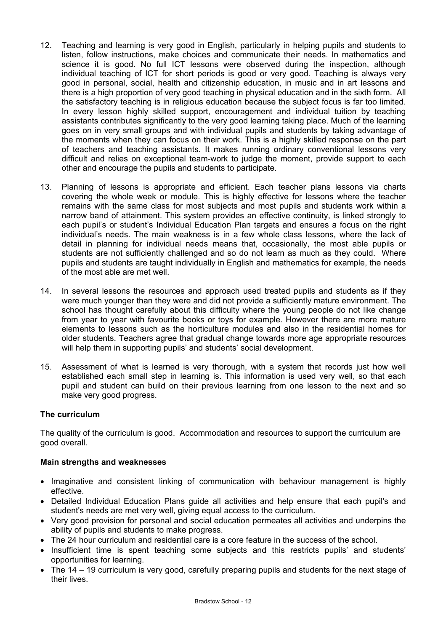- 12. Teaching and learning is very good in English, particularly in helping pupils and students to listen, follow instructions, make choices and communicate their needs. In mathematics and science it is good. No full ICT lessons were observed during the inspection, although individual teaching of ICT for short periods is good or very good. Teaching is always very good in personal, social, health and citizenship education, in music and in art lessons and there is a high proportion of very good teaching in physical education and in the sixth form. All the satisfactory teaching is in religious education because the subject focus is far too limited. In every lesson highly skilled support, encouragement and individual tuition by teaching assistants contributes significantly to the very good learning taking place. Much of the learning goes on in very small groups and with individual pupils and students by taking advantage of the moments when they can focus on their work. This is a highly skilled response on the part of teachers and teaching assistants. It makes running ordinary conventional lessons very difficult and relies on exceptional team-work to judge the moment, provide support to each other and encourage the pupils and students to participate.
- 13. Planning of lessons is appropriate and efficient. Each teacher plans lessons via charts covering the whole week or module. This is highly effective for lessons where the teacher remains with the same class for most subjects and most pupils and students work within a narrow band of attainment. This system provides an effective continuity, is linked strongly to each pupil's or student's Individual Education Plan targets and ensures a focus on the right individual's needs. The main weakness is in a few whole class lessons, where the lack of detail in planning for individual needs means that, occasionally, the most able pupils or students are not sufficiently challenged and so do not learn as much as they could. Where pupils and students are taught individually in English and mathematics for example, the needs of the most able are met well.
- 14. In several lessons the resources and approach used treated pupils and students as if they were much younger than they were and did not provide a sufficiently mature environment. The school has thought carefully about this difficulty where the young people do not like change from year to year with favourite books or toys for example. However there are more mature elements to lessons such as the horticulture modules and also in the residential homes for older students. Teachers agree that gradual change towards more age appropriate resources will help them in supporting pupils' and students' social development.
- 15. Assessment of what is learned is very thorough, with a system that records just how well established each small step in learning is. This information is used very well, so that each pupil and student can build on their previous learning from one lesson to the next and so make very good progress.

# **The curriculum**

The quality of the curriculum is good. Accommodation and resources to support the curriculum are good overall.

# **Main strengths and weaknesses**

- Imaginative and consistent linking of communication with behaviour management is highly effective.
- Detailed Individual Education Plans guide all activities and help ensure that each pupil's and student's needs are met very well, giving equal access to the curriculum.
- Very good provision for personal and social education permeates all activities and underpins the ability of pupils and students to make progress.
- The 24 hour curriculum and residential care is a core feature in the success of the school.
- Insufficient time is spent teaching some subjects and this restricts pupils' and students' opportunities for learning.
- The 14 19 curriculum is very good, carefully preparing pupils and students for the next stage of their lives.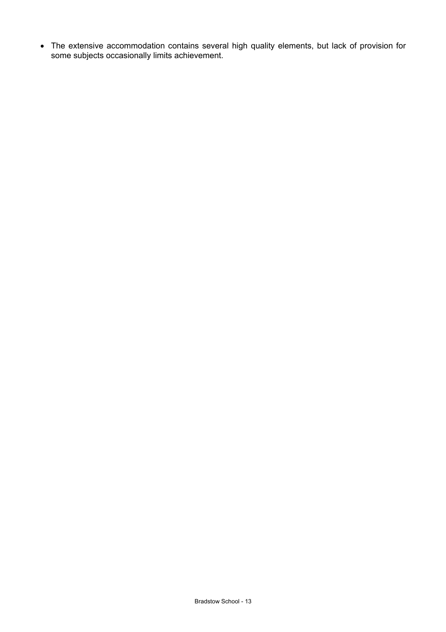• The extensive accommodation contains several high quality elements, but lack of provision for some subjects occasionally limits achievement.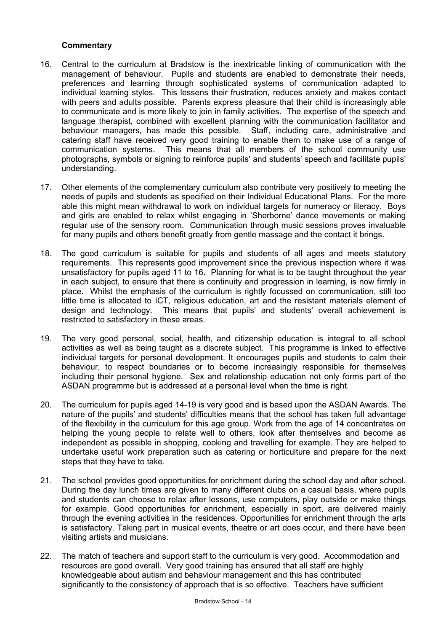- 16. Central to the curriculum at Bradstow is the inextricable linking of communication with the management of behaviour. Pupils and students are enabled to demonstrate their needs, preferences and learning through sophisticated systems of communication adapted to individual learning styles. This lessens their frustration, reduces anxiety and makes contact with peers and adults possible. Parents express pleasure that their child is increasingly able to communicate and is more likely to join in family activities. The expertise of the speech and language therapist, combined with excellent planning with the communication facilitator and behaviour managers, has made this possible. Staff, including care, administrative and catering staff have received very good training to enable them to make use of a range of communication systems. This means that all members of the school community use photographs, symbols or signing to reinforce pupils' and students' speech and facilitate pupils' understanding.
- 17. Other elements of the complementary curriculum also contribute very positively to meeting the needs of pupils and students as specified on their Individual Educational Plans. For the more able this might mean withdrawal to work on individual targets for numeracy or literacy. Boys and girls are enabled to relax whilst engaging in 'Sherborne' dance movements or making regular use of the sensory room. Communication through music sessions proves invaluable for many pupils and others benefit greatly from gentle massage and the contact it brings.
- 18. The good curriculum is suitable for pupils and students of all ages and meets statutory requirements. This represents good improvement since the previous inspection where it was unsatisfactory for pupils aged 11 to 16. Planning for what is to be taught throughout the year in each subject, to ensure that there is continuity and progression in learning, is now firmly in place. Whilst the emphasis of the curriculum is rightly focussed on communication, still too little time is allocated to ICT, religious education, art and the resistant materials element of design and technology. This means that pupils' and students' overall achievement is restricted to satisfactory in these areas.
- 19. The very good personal, social, health, and citizenship education is integral to all school activities as well as being taught as a discrete subject. This programme is linked to effective individual targets for personal development. It encourages pupils and students to calm their behaviour, to respect boundaries or to become increasingly responsible for themselves including their personal hygiene. Sex and relationship education not only forms part of the ASDAN programme but is addressed at a personal level when the time is right.
- 20. The curriculum for pupils aged 14-19 is very good and is based upon the ASDAN Awards. The nature of the pupils' and students' difficulties means that the school has taken full advantage of the flexibility in the curriculum for this age group. Work from the age of 14 concentrates on helping the young people to relate well to others, look after themselves and become as independent as possible in shopping, cooking and travelling for example. They are helped to undertake useful work preparation such as catering or horticulture and prepare for the next steps that they have to take.
- 21. The school provides good opportunities for enrichment during the school day and after school. During the day lunch times are given to many different clubs on a casual basis, where pupils and students can choose to relax after lessons, use computers, play outside or make things for example. Good opportunities for enrichment, especially in sport, are delivered mainly through the evening activities in the residences. Opportunities for enrichment through the arts is satisfactory. Taking part in musical events, theatre or art does occur, and there have been visiting artists and musicians.
- 22. The match of teachers and support staff to the curriculum is very good. Accommodation and resources are good overall. Very good training has ensured that all staff are highly knowledgeable about autism and behaviour management and this has contributed significantly to the consistency of approach that is so effective. Teachers have sufficient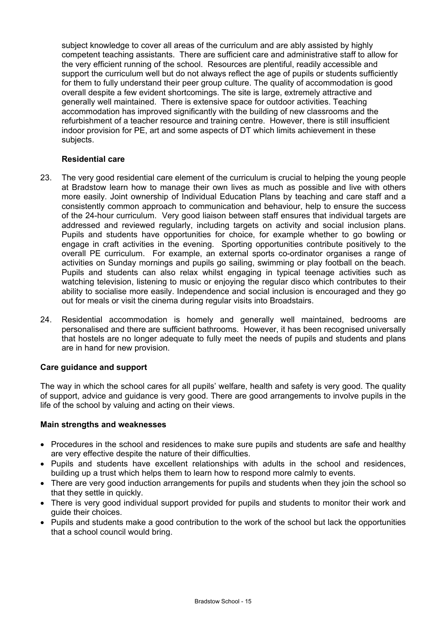subject knowledge to cover all areas of the curriculum and are ably assisted by highly competent teaching assistants. There are sufficient care and administrative staff to allow for the very efficient running of the school. Resources are plentiful, readily accessible and support the curriculum well but do not always reflect the age of pupils or students sufficiently for them to fully understand their peer group culture. The quality of accommodation is good overall despite a few evident shortcomings. The site is large, extremely attractive and generally well maintained. There is extensive space for outdoor activities. Teaching accommodation has improved significantly with the building of new classrooms and the refurbishment of a teacher resource and training centre. However, there is still insufficient indoor provision for PE, art and some aspects of DT which limits achievement in these subjects.

## **Residential care**

- 23. The very good residential care element of the curriculum is crucial to helping the young people at Bradstow learn how to manage their own lives as much as possible and live with others more easily. Joint ownership of Individual Education Plans by teaching and care staff and a consistently common approach to communication and behaviour, help to ensure the success of the 24-hour curriculum. Very good liaison between staff ensures that individual targets are addressed and reviewed regularly, including targets on activity and social inclusion plans. Pupils and students have opportunities for choice, for example whether to go bowling or engage in craft activities in the evening. Sporting opportunities contribute positively to the overall PE curriculum. For example, an external sports co-ordinator organises a range of activities on Sunday mornings and pupils go sailing, swimming or play football on the beach. Pupils and students can also relax whilst engaging in typical teenage activities such as watching television, listening to music or enjoying the regular disco which contributes to their ability to socialise more easily. Independence and social inclusion is encouraged and they go out for meals or visit the cinema during regular visits into Broadstairs.
- 24. Residential accommodation is homely and generally well maintained, bedrooms are personalised and there are sufficient bathrooms. However, it has been recognised universally that hostels are no longer adequate to fully meet the needs of pupils and students and plans are in hand for new provision.

# **Care guidance and support**

The way in which the school cares for all pupils' welfare, health and safety is very good. The quality of support, advice and guidance is very good. There are good arrangements to involve pupils in the life of the school by valuing and acting on their views.

#### **Main strengths and weaknesses**

- Procedures in the school and residences to make sure pupils and students are safe and healthy are very effective despite the nature of their difficulties.
- Pupils and students have excellent relationships with adults in the school and residences, building up a trust which helps them to learn how to respond more calmly to events.
- There are very good induction arrangements for pupils and students when they join the school so that they settle in quickly.
- There is very good individual support provided for pupils and students to monitor their work and guide their choices.
- Pupils and students make a good contribution to the work of the school but lack the opportunities that a school council would bring.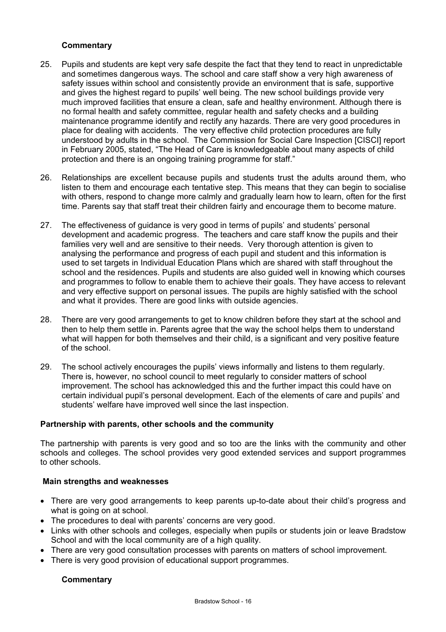# **Commentary**

- 25. Pupils and students are kept very safe despite the fact that they tend to react in unpredictable and sometimes dangerous ways. The school and care staff show a very high awareness of safety issues within school and consistently provide an environment that is safe, supportive and gives the highest regard to pupils' well being. The new school buildings provide very much improved facilities that ensure a clean, safe and healthy environment. Although there is no formal health and safety committee, regular health and safety checks and a building maintenance programme identify and rectify any hazards. There are very good procedures in place for dealing with accidents. The very effective child protection procedures are fully understood by adults in the school. The Commission for Social Care Inspection [CISCI] report in February 2005, stated, "The Head of Care is knowledgeable about many aspects of child protection and there is an ongoing training programme for staff."
- 26. Relationships are excellent because pupils and students trust the adults around them, who listen to them and encourage each tentative step. This means that they can begin to socialise with others, respond to change more calmly and gradually learn how to learn, often for the first time. Parents say that staff treat their children fairly and encourage them to become mature.
- 27. The effectiveness of guidance is very good in terms of pupils' and students' personal development and academic progress. The teachers and care staff know the pupils and their families very well and are sensitive to their needs. Very thorough attention is given to analysing the performance and progress of each pupil and student and this information is used to set targets in Individual Education Plans which are shared with staff throughout the school and the residences. Pupils and students are also guided well in knowing which courses and programmes to follow to enable them to achieve their goals. They have access to relevant and very effective support on personal issues. The pupils are highly satisfied with the school and what it provides. There are good links with outside agencies.
- 28. There are very good arrangements to get to know children before they start at the school and then to help them settle in. Parents agree that the way the school helps them to understand what will happen for both themselves and their child, is a significant and very positive feature of the school.
- 29. The school actively encourages the pupils' views informally and listens to them regularly. There is, however, no school council to meet regularly to consider matters of school improvement. The school has acknowledged this and the further impact this could have on certain individual pupil's personal development. Each of the elements of care and pupils' and students' welfare have improved well since the last inspection.

# **Partnership with parents, other schools and the community**

The partnership with parents is very good and so too are the links with the community and other schools and colleges. The school provides very good extended services and support programmes to other schools.

#### **Main strengths and weaknesses**

- There are very good arrangements to keep parents up-to-date about their child's progress and what is going on at school.
- The procedures to deal with parents' concerns are very good.
- Links with other schools and colleges, especially when pupils or students join or leave Bradstow School and with the local community are of a high quality.
- There are very good consultation processes with parents on matters of school improvement.
- There is very good provision of educational support programmes.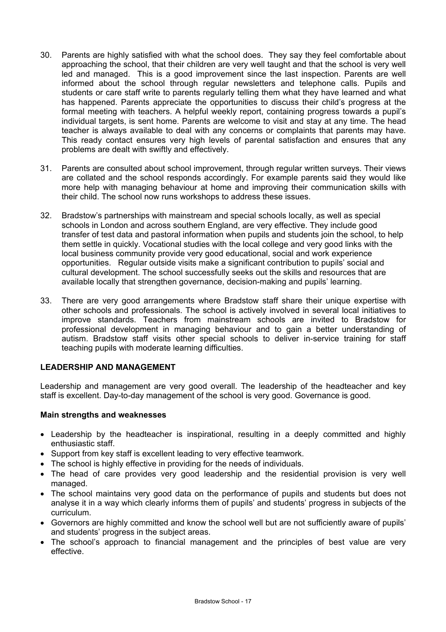- 30. Parents are highly satisfied with what the school does. They say they feel comfortable about approaching the school, that their children are very well taught and that the school is very well led and managed. This is a good improvement since the last inspection. Parents are well informed about the school through regular newsletters and telephone calls. Pupils and students or care staff write to parents regularly telling them what they have learned and what has happened. Parents appreciate the opportunities to discuss their child's progress at the formal meeting with teachers. A helpful weekly report, containing progress towards a pupil's individual targets, is sent home. Parents are welcome to visit and stay at any time. The head teacher is always available to deal with any concerns or complaints that parents may have. This ready contact ensures very high levels of parental satisfaction and ensures that any problems are dealt with swiftly and effectively.
- 31. Parents are consulted about school improvement, through regular written surveys. Their views are collated and the school responds accordingly. For example parents said they would like more help with managing behaviour at home and improving their communication skills with their child. The school now runs workshops to address these issues.
- 32. Bradstow's partnerships with mainstream and special schools locally, as well as special schools in London and across southern England, are very effective. They include good transfer of test data and pastoral information when pupils and students join the school, to help them settle in quickly. Vocational studies with the local college and very good links with the local business community provide very good educational, social and work experience opportunities. Regular outside visits make a significant contribution to pupils' social and cultural development. The school successfully seeks out the skills and resources that are available locally that strengthen governance, decision-making and pupils' learning.
- 33. There are very good arrangements where Bradstow staff share their unique expertise with other schools and professionals. The school is actively involved in several local initiatives to improve standards. Teachers from mainstream schools are invited to Bradstow for professional development in managing behaviour and to gain a better understanding of autism. Bradstow staff visits other special schools to deliver in-service training for staff teaching pupils with moderate learning difficulties.

# **LEADERSHIP AND MANAGEMENT**

Leadership and management are very good overall. The leadership of the headteacher and key staff is excellent. Day-to-day management of the school is very good. Governance is good.

# **Main strengths and weaknesses**

- Leadership by the headteacher is inspirational, resulting in a deeply committed and highly enthusiastic staff.
- Support from key staff is excellent leading to very effective teamwork.
- The school is highly effective in providing for the needs of individuals.
- The head of care provides very good leadership and the residential provision is very well managed.
- The school maintains very good data on the performance of pupils and students but does not analyse it in a way which clearly informs them of pupils' and students' progress in subjects of the curriculum.
- Governors are highly committed and know the school well but are not sufficiently aware of pupils' and students' progress in the subject areas.
- The school's approach to financial management and the principles of best value are very effective.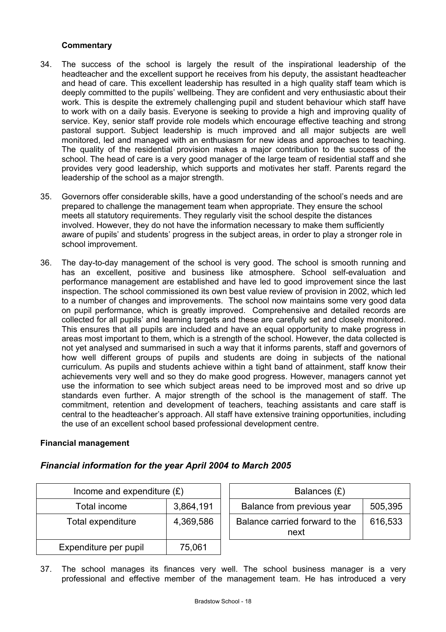# **Commentary**

- 34. The success of the school is largely the result of the inspirational leadership of the headteacher and the excellent support he receives from his deputy, the assistant headteacher and head of care. This excellent leadership has resulted in a high quality staff team which is deeply committed to the pupils' wellbeing. They are confident and very enthusiastic about their work. This is despite the extremely challenging pupil and student behaviour which staff have to work with on a daily basis. Everyone is seeking to provide a high and improving quality of service. Key, senior staff provide role models which encourage effective teaching and strong pastoral support. Subject leadership is much improved and all major subjects are well monitored, led and managed with an enthusiasm for new ideas and approaches to teaching. The quality of the residential provision makes a major contribution to the success of the school. The head of care is a very good manager of the large team of residential staff and she provides very good leadership, which supports and motivates her staff. Parents regard the leadership of the school as a major strength.
- 35. Governors offer considerable skills, have a good understanding of the school's needs and are prepared to challenge the management team when appropriate. They ensure the school meets all statutory requirements. They regularly visit the school despite the distances involved. However, they do not have the information necessary to make them sufficiently aware of pupils' and students' progress in the subject areas, in order to play a stronger role in school improvement.
- 36. The day-to-day management of the school is very good. The school is smooth running and has an excellent, positive and business like atmosphere. School self-evaluation and performance management are established and have led to good improvement since the last inspection. The school commissioned its own best value review of provision in 2002, which led to a number of changes and improvements. The school now maintains some very good data on pupil performance, which is greatly improved. Comprehensive and detailed records are collected for all pupils' and learning targets and these are carefully set and closely monitored. This ensures that all pupils are included and have an equal opportunity to make progress in areas most important to them, which is a strength of the school. However, the data collected is not yet analysed and summarised in such a way that it informs parents, staff and governors of how well different groups of pupils and students are doing in subjects of the national curriculum. As pupils and students achieve within a tight band of attainment, staff know their achievements very well and so they do make good progress. However, managers cannot yet use the information to see which subject areas need to be improved most and so drive up standards even further. A major strength of the school is the management of staff. The commitment, retention and development of teachers, teaching assistants and care staff is central to the headteacher's approach. All staff have extensive training opportunities, including the use of an excellent school based professional development centre.

# **Financial management**

# *Financial information for the year April 2004 to March 2005*

| Income and expenditure $(E)$ |           |  | Balances (£)                           |         |  |
|------------------------------|-----------|--|----------------------------------------|---------|--|
| Total income                 | 3,864,191 |  | Balance from previous year             | 505,395 |  |
| Total expenditure            | 4,369,586 |  | Balance carried forward to the<br>next | 616,533 |  |
| Expenditure per pupil        | 75,061    |  |                                        |         |  |

37. The school manages its finances very well. The school business manager is a very professional and effective member of the management team. He has introduced a very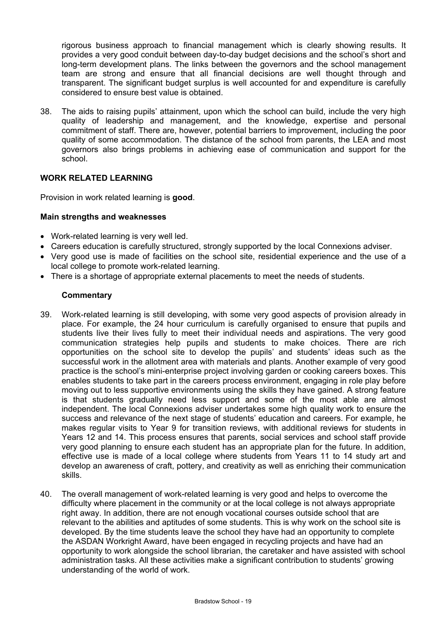rigorous business approach to financial management which is clearly showing results. It provides a very good conduit between day-to-day budget decisions and the school's short and long-term development plans. The links between the governors and the school management team are strong and ensure that all financial decisions are well thought through and transparent. The significant budget surplus is well accounted for and expenditure is carefully considered to ensure best value is obtained.

38. The aids to raising pupils' attainment, upon which the school can build, include the very high quality of leadership and management, and the knowledge, expertise and personal commitment of staff. There are, however, potential barriers to improvement, including the poor quality of some accommodation. The distance of the school from parents, the LEA and most governors also brings problems in achieving ease of communication and support for the school.

# **WORK RELATED LEARNING**

Provision in work related learning is **good**.

#### **Main strengths and weaknesses**

- Work-related learning is very well led.
- Careers education is carefully structured, strongly supported by the local Connexions adviser.
- Very good use is made of facilities on the school site, residential experience and the use of a local college to promote work-related learning.
- There is a shortage of appropriate external placements to meet the needs of students.

- 39. Work-related learning is still developing, with some very good aspects of provision already in place. For example, the 24 hour curriculum is carefully organised to ensure that pupils and students live their lives fully to meet their individual needs and aspirations. The very good communication strategies help pupils and students to make choices. There are rich opportunities on the school site to develop the pupils' and students' ideas such as the successful work in the allotment area with materials and plants. Another example of very good practice is the school's mini-enterprise project involving garden or cooking careers boxes. This enables students to take part in the careers process environment, engaging in role play before moving out to less supportive environments using the skills they have gained. A strong feature is that students gradually need less support and some of the most able are almost independent. The local Connexions adviser undertakes some high quality work to ensure the success and relevance of the next stage of students' education and careers. For example, he makes regular visits to Year 9 for transition reviews, with additional reviews for students in Years 12 and 14. This process ensures that parents, social services and school staff provide very good planning to ensure each student has an appropriate plan for the future. In addition, effective use is made of a local college where students from Years 11 to 14 study art and develop an awareness of craft, pottery, and creativity as well as enriching their communication skills.
- 40. The overall management of work-related learning is very good and helps to overcome the difficulty where placement in the community or at the local college is not always appropriate right away. In addition, there are not enough vocational courses outside school that are relevant to the abilities and aptitudes of some students. This is why work on the school site is developed. By the time students leave the school they have had an opportunity to complete the ASDAN Workright Award, have been engaged in recycling projects and have had an opportunity to work alongside the school librarian, the caretaker and have assisted with school administration tasks. All these activities make a significant contribution to students' growing understanding of the world of work.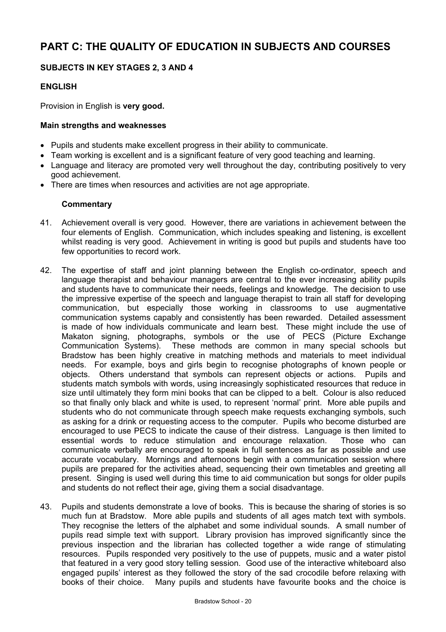# **PART C: THE QUALITY OF EDUCATION IN SUBJECTS AND COURSES**

# **SUBJECTS IN KEY STAGES 2, 3 AND 4**

# **ENGLISH**

Provision in English is **very good.**

#### **Main strengths and weaknesses**

- Pupils and students make excellent progress in their ability to communicate.
- Team working is excellent and is a significant feature of very good teaching and learning.
- Language and literacy are promoted very well throughout the day, contributing positively to very good achievement.
- There are times when resources and activities are not age appropriate.

- 41. Achievement overall is very good. However, there are variations in achievement between the four elements of English. Communication, which includes speaking and listening, is excellent whilst reading is very good. Achievement in writing is good but pupils and students have too few opportunities to record work.
- 42. The expertise of staff and joint planning between the English co-ordinator, speech and language therapist and behaviour managers are central to the ever increasing ability pupils and students have to communicate their needs, feelings and knowledge. The decision to use the impressive expertise of the speech and language therapist to train all staff for developing communication, but especially those working in classrooms to use augmentative communication systems capably and consistently has been rewarded. Detailed assessment is made of how individuals communicate and learn best. These might include the use of Makaton signing, photographs, symbols or the use of PECS (Picture Exchange Communication Systems). These methods are common in many special schools but Bradstow has been highly creative in matching methods and materials to meet individual needs. For example, boys and girls begin to recognise photographs of known people or objects. Others understand that symbols can represent objects or actions. Pupils and students match symbols with words, using increasingly sophisticated resources that reduce in size until ultimately they form mini books that can be clipped to a belt. Colour is also reduced so that finally only black and white is used, to represent 'normal' print. More able pupils and students who do not communicate through speech make requests exchanging symbols, such as asking for a drink or requesting access to the computer. Pupils who become disturbed are encouraged to use PECS to indicate the cause of their distress. Language is then limited to essential words to reduce stimulation and encourage relaxation. Those who can communicate verbally are encouraged to speak in full sentences as far as possible and use accurate vocabulary. Mornings and afternoons begin with a communication session where pupils are prepared for the activities ahead, sequencing their own timetables and greeting all present. Singing is used well during this time to aid communication but songs for older pupils and students do not reflect their age, giving them a social disadvantage.
- 43. Pupils and students demonstrate a love of books. This is because the sharing of stories is so much fun at Bradstow. More able pupils and students of all ages match text with symbols. They recognise the letters of the alphabet and some individual sounds. A small number of pupils read simple text with support. Library provision has improved significantly since the previous inspection and the librarian has collected together a wide range of stimulating resources. Pupils responded very positively to the use of puppets, music and a water pistol that featured in a very good story telling session. Good use of the interactive whiteboard also engaged pupils' interest as they followed the story of the sad crocodile before relaxing with books of their choice. Many pupils and students have favourite books and the choice is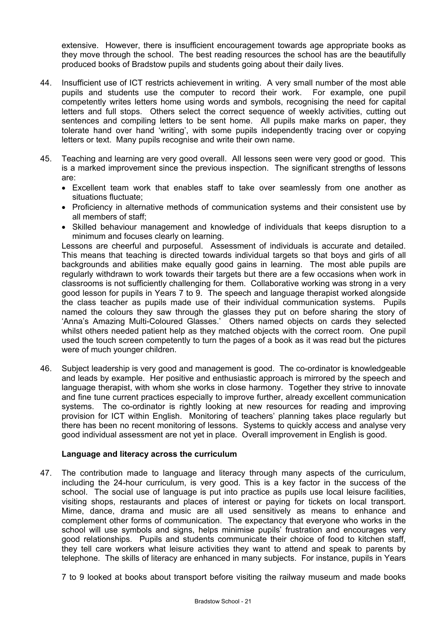extensive. However, there is insufficient encouragement towards age appropriate books as they move through the school. The best reading resources the school has are the beautifully produced books of Bradstow pupils and students going about their daily lives.

- 44. Insufficient use of ICT restricts achievement in writing. A very small number of the most able pupils and students use the computer to record their work. For example, one pupil competently writes letters home using words and symbols, recognising the need for capital letters and full stops. Others select the correct sequence of weekly activities, cutting out sentences and compiling letters to be sent home. All pupils make marks on paper, they tolerate hand over hand 'writing', with some pupils independently tracing over or copying letters or text. Many pupils recognise and write their own name.
- 45. Teaching and learning are very good overall. All lessons seen were very good or good. This is a marked improvement since the previous inspection. The significant strengths of lessons are:
	- Excellent team work that enables staff to take over seamlessly from one another as situations fluctuate;
	- Proficiency in alternative methods of communication systems and their consistent use by all members of staff;
	- Skilled behaviour management and knowledge of individuals that keeps disruption to a minimum and focuses clearly on learning.

Lessons are cheerful and purposeful. Assessment of individuals is accurate and detailed. This means that teaching is directed towards individual targets so that boys and girls of all backgrounds and abilities make equally good gains in learning. The most able pupils are regularly withdrawn to work towards their targets but there are a few occasions when work in classrooms is not sufficiently challenging for them. Collaborative working was strong in a very good lesson for pupils in Years 7 to 9. The speech and language therapist worked alongside the class teacher as pupils made use of their individual communication systems. Pupils named the colours they saw through the glasses they put on before sharing the story of 'Anna's Amazing Multi-Coloured Glasses.' Others named objects on cards they selected whilst others needed patient help as they matched objects with the correct room. One pupil used the touch screen competently to turn the pages of a book as it was read but the pictures were of much younger children.

46. Subject leadership is very good and management is good. The co-ordinator is knowledgeable and leads by example. Her positive and enthusiastic approach is mirrored by the speech and language therapist, with whom she works in close harmony. Together they strive to innovate and fine tune current practices especially to improve further, already excellent communication systems. The co-ordinator is rightly looking at new resources for reading and improving provision for ICT within English. Monitoring of teachers' planning takes place regularly but there has been no recent monitoring of lessons. Systems to quickly access and analyse very good individual assessment are not yet in place. Overall improvement in English is good.

#### **Language and literacy across the curriculum**

- 47. The contribution made to language and literacy through many aspects of the curriculum, including the 24-hour curriculum, is very good. This is a key factor in the success of the school. The social use of language is put into practice as pupils use local leisure facilities, visiting shops, restaurants and places of interest or paying for tickets on local transport. Mime, dance, drama and music are all used sensitively as means to enhance and complement other forms of communication. The expectancy that everyone who works in the school will use symbols and signs, helps minimise pupils' frustration and encourages very good relationships. Pupils and students communicate their choice of food to kitchen staff, they tell care workers what leisure activities they want to attend and speak to parents by telephone. The skills of literacy are enhanced in many subjects. For instance, pupils in Years
	- 7 to 9 looked at books about transport before visiting the railway museum and made books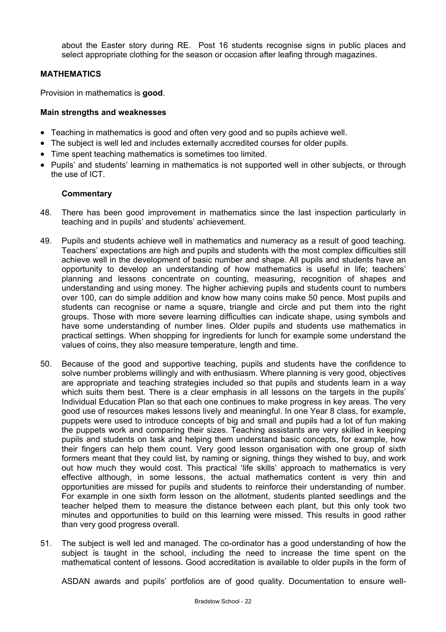about the Easter story during RE. Post 16 students recognise signs in public places and select appropriate clothing for the season or occasion after leafing through magazines.

# **MATHEMATICS**

Provision in mathematics is **good**.

#### **Main strengths and weaknesses**

- Teaching in mathematics is good and often very good and so pupils achieve well.
- The subject is well led and includes externally accredited courses for older pupils.
- Time spent teaching mathematics is sometimes too limited.
- Pupils' and students' learning in mathematics is not supported well in other subjects, or through the use of ICT.

# **Commentary**

- 48. There has been good improvement in mathematics since the last inspection particularly in teaching and in pupils' and students' achievement.
- 49. Pupils and students achieve well in mathematics and numeracy as a result of good teaching. Teachers' expectations are high and pupils and students with the most complex difficulties still achieve well in the development of basic number and shape. All pupils and students have an opportunity to develop an understanding of how mathematics is useful in life; teachers' planning and lessons concentrate on counting, measuring, recognition of shapes and understanding and using money. The higher achieving pupils and students count to numbers over 100, can do simple addition and know how many coins make 50 pence. Most pupils and students can recognise or name a square, triangle and circle and put them into the right groups. Those with more severe learning difficulties can indicate shape, using symbols and have some understanding of number lines. Older pupils and students use mathematics in practical settings. When shopping for ingredients for lunch for example some understand the values of coins, they also measure temperature, length and time.
- 50. Because of the good and supportive teaching, pupils and students have the confidence to solve number problems willingly and with enthusiasm. Where planning is very good, objectives are appropriate and teaching strategies included so that pupils and students learn in a way which suits them best. There is a clear emphasis in all lessons on the targets in the pupils' Individual Education Plan so that each one continues to make progress in key areas. The very good use of resources makes lessons lively and meaningful. In one Year 8 class, for example, puppets were used to introduce concepts of big and small and pupils had a lot of fun making the puppets work and comparing their sizes. Teaching assistants are very skilled in keeping pupils and students on task and helping them understand basic concepts, for example, how their fingers can help them count. Very good lesson organisation with one group of sixth formers meant that they could list, by naming or signing, things they wished to buy, and work out how much they would cost. This practical 'life skills' approach to mathematics is very effective although, in some lessons, the actual mathematics content is very thin and opportunities are missed for pupils and students to reinforce their understanding of number. For example in one sixth form lesson on the allotment, students planted seedlings and the teacher helped them to measure the distance between each plant, but this only took two minutes and opportunities to build on this learning were missed. This results in good rather than very good progress overall.
- 51. The subject is well led and managed. The co-ordinator has a good understanding of how the subject is taught in the school, including the need to increase the time spent on the mathematical content of lessons. Good accreditation is available to older pupils in the form of

ASDAN awards and pupils' portfolios are of good quality. Documentation to ensure well-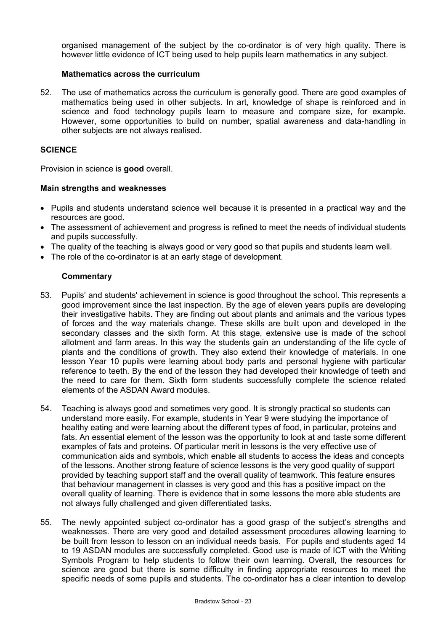organised management of the subject by the co-ordinator is of very high quality. There is however little evidence of ICT being used to help pupils learn mathematics in any subject.

#### **Mathematics across the curriculum**

52. The use of mathematics across the curriculum is generally good. There are good examples of mathematics being used in other subjects. In art, knowledge of shape is reinforced and in science and food technology pupils learn to measure and compare size, for example. However, some opportunities to build on number, spatial awareness and data-handling in other subjects are not always realised.

#### **SCIENCE**

Provision in science is **good** overall.

#### **Main strengths and weaknesses**

- Pupils and students understand science well because it is presented in a practical way and the resources are good.
- The assessment of achievement and progress is refined to meet the needs of individual students and pupils successfully.
- The quality of the teaching is always good or very good so that pupils and students learn well.
- The role of the co-ordinator is at an early stage of development.

- 53. Pupils' and students' achievement in science is good throughout the school. This represents a good improvement since the last inspection. By the age of eleven years pupils are developing their investigative habits. They are finding out about plants and animals and the various types of forces and the way materials change. These skills are built upon and developed in the secondary classes and the sixth form. At this stage, extensive use is made of the school allotment and farm areas. In this way the students gain an understanding of the life cycle of plants and the conditions of growth. They also extend their knowledge of materials. In one lesson Year 10 pupils were learning about body parts and personal hygiene with particular reference to teeth. By the end of the lesson they had developed their knowledge of teeth and the need to care for them. Sixth form students successfully complete the science related elements of the ASDAN Award modules.
- 54. Teaching is always good and sometimes very good. It is strongly practical so students can understand more easily. For example, students in Year 9 were studying the importance of healthy eating and were learning about the different types of food, in particular, proteins and fats. An essential element of the lesson was the opportunity to look at and taste some different examples of fats and proteins. Of particular merit in lessons is the very effective use of communication aids and symbols, which enable all students to access the ideas and concepts of the lessons. Another strong feature of science lessons is the very good quality of support provided by teaching support staff and the overall quality of teamwork. This feature ensures that behaviour management in classes is very good and this has a positive impact on the overall quality of learning. There is evidence that in some lessons the more able students are not always fully challenged and given differentiated tasks.
- 55. The newly appointed subject co-ordinator has a good grasp of the subject's strengths and weaknesses. There are very good and detailed assessment procedures allowing learning to be built from lesson to lesson on an individual needs basis. For pupils and students aged 14 to 19 ASDAN modules are successfully completed. Good use is made of ICT with the Writing Symbols Program to help students to follow their own learning. Overall, the resources for science are good but there is some difficulty in finding appropriate resources to meet the specific needs of some pupils and students. The co-ordinator has a clear intention to develop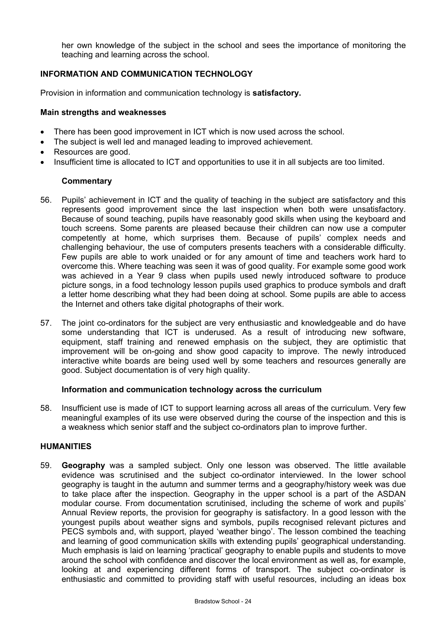her own knowledge of the subject in the school and sees the importance of monitoring the teaching and learning across the school.

# **INFORMATION AND COMMUNICATION TECHNOLOGY**

Provision in information and communication technology is **satisfactory.**

#### **Main strengths and weaknesses**

- There has been good improvement in ICT which is now used across the school.
- The subject is well led and managed leading to improved achievement.
- Resources are good.
- Insufficient time is allocated to ICT and opportunities to use it in all subjects are too limited.

# **Commentary**

- 56. Pupils' achievement in ICT and the quality of teaching in the subject are satisfactory and this represents good improvement since the last inspection when both were unsatisfactory. Because of sound teaching, pupils have reasonably good skills when using the keyboard and touch screens. Some parents are pleased because their children can now use a computer competently at home, which surprises them. Because of pupils' complex needs and challenging behaviour, the use of computers presents teachers with a considerable difficulty. Few pupils are able to work unaided or for any amount of time and teachers work hard to overcome this. Where teaching was seen it was of good quality. For example some good work was achieved in a Year 9 class when pupils used newly introduced software to produce picture songs, in a food technology lesson pupils used graphics to produce symbols and draft a letter home describing what they had been doing at school. Some pupils are able to access the Internet and others take digital photographs of their work.
- 57. The joint co-ordinators for the subject are very enthusiastic and knowledgeable and do have some understanding that ICT is underused. As a result of introducing new software, equipment, staff training and renewed emphasis on the subject, they are optimistic that improvement will be on-going and show good capacity to improve. The newly introduced interactive white boards are being used well by some teachers and resources generally are good. Subject documentation is of very high quality.

#### **Information and communication technology across the curriculum**

58. Insufficient use is made of ICT to support learning across all areas of the curriculum. Very few meaningful examples of its use were observed during the course of the inspection and this is a weakness which senior staff and the subject co-ordinators plan to improve further.

#### **HUMANITIES**

59. **Geography** was a sampled subject. Only one lesson was observed. The little available evidence was scrutinised and the subject co-ordinator interviewed. In the lower school geography is taught in the autumn and summer terms and a geography/history week was due to take place after the inspection. Geography in the upper school is a part of the ASDAN modular course. From documentation scrutinised, including the scheme of work and pupils' Annual Review reports, the provision for geography is satisfactory. In a good lesson with the youngest pupils about weather signs and symbols, pupils recognised relevant pictures and PECS symbols and, with support, played 'weather bingo'. The lesson combined the teaching and learning of good communication skills with extending pupils' geographical understanding. Much emphasis is laid on learning 'practical' geography to enable pupils and students to move around the school with confidence and discover the local environment as well as, for example, looking at and experiencing different forms of transport. The subject co-ordinator is enthusiastic and committed to providing staff with useful resources, including an ideas box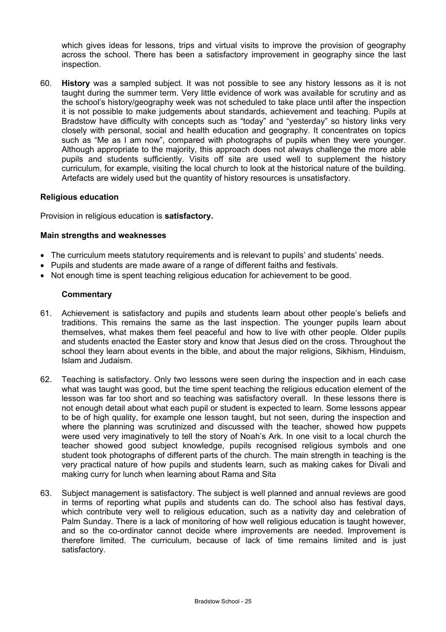which gives ideas for lessons, trips and virtual visits to improve the provision of geography across the school. There has been a satisfactory improvement in geography since the last inspection.

60. **History** was a sampled subject. It was not possible to see any history lessons as it is not taught during the summer term. Very little evidence of work was available for scrutiny and as the school's history/geography week was not scheduled to take place until after the inspection it is not possible to make judgements about standards, achievement and teaching. Pupils at Bradstow have difficulty with concepts such as "today" and "yesterday" so history links very closely with personal, social and health education and geography. It concentrates on topics such as "Me as I am now", compared with photographs of pupils when they were younger. Although appropriate to the majority, this approach does not always challenge the more able pupils and students sufficiently. Visits off site are used well to supplement the history curriculum, for example, visiting the local church to look at the historical nature of the building. Artefacts are widely used but the quantity of history resources is unsatisfactory.

# **Religious education**

Provision in religious education is **satisfactory.** 

#### **Main strengths and weaknesses**

- The curriculum meets statutory requirements and is relevant to pupils' and students' needs.
- Pupils and students are made aware of a range of different faiths and festivals.
- Not enough time is spent teaching religious education for achievement to be good.

- 61. Achievement is satisfactory and pupils and students learn about other people's beliefs and traditions. This remains the same as the last inspection. The younger pupils learn about themselves, what makes them feel peaceful and how to live with other people. Older pupils and students enacted the Easter story and know that Jesus died on the cross. Throughout the school they learn about events in the bible, and about the major religions, Sikhism, Hinduism, Islam and Judaism.
- 62. Teaching is satisfactory. Only two lessons were seen during the inspection and in each case what was taught was good, but the time spent teaching the religious education element of the lesson was far too short and so teaching was satisfactory overall. In these lessons there is not enough detail about what each pupil or student is expected to learn. Some lessons appear to be of high quality, for example one lesson taught, but not seen, during the inspection and where the planning was scrutinized and discussed with the teacher, showed how puppets were used very imaginatively to tell the story of Noah's Ark. In one visit to a local church the teacher showed good subject knowledge, pupils recognised religious symbols and one student took photographs of different parts of the church. The main strength in teaching is the very practical nature of how pupils and students learn, such as making cakes for Divali and making curry for lunch when learning about Rama and Sita
- 63. Subject management is satisfactory. The subject is well planned and annual reviews are good in terms of reporting what pupils and students can do. The school also has festival days, which contribute very well to religious education, such as a nativity day and celebration of Palm Sunday. There is a lack of monitoring of how well religious education is taught however, and so the co-ordinator cannot decide where improvements are needed. Improvement is therefore limited. The curriculum, because of lack of time remains limited and is just satisfactory.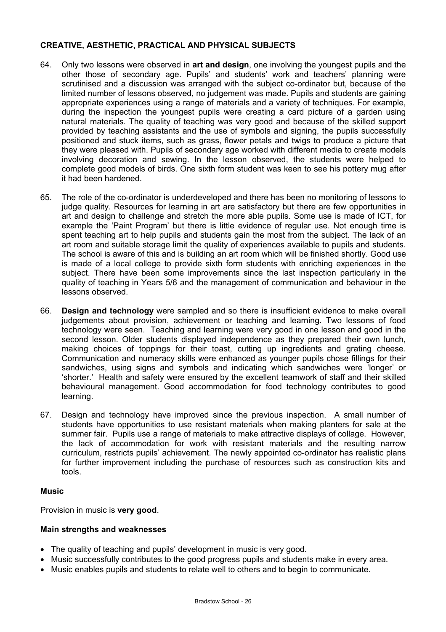# **CREATIVE, AESTHETIC, PRACTICAL AND PHYSICAL SUBJECTS**

- 64. Only two lessons were observed in **art and design**, one involving the youngest pupils and the other those of secondary age. Pupils' and students' work and teachers' planning were scrutinised and a discussion was arranged with the subject co-ordinator but, because of the limited number of lessons observed, no judgement was made. Pupils and students are gaining appropriate experiences using a range of materials and a variety of techniques. For example, during the inspection the youngest pupils were creating a card picture of a garden using natural materials. The quality of teaching was very good and because of the skilled support provided by teaching assistants and the use of symbols and signing, the pupils successfully positioned and stuck items, such as grass, flower petals and twigs to produce a picture that they were pleased with. Pupils of secondary age worked with different media to create models involving decoration and sewing. In the lesson observed, the students were helped to complete good models of birds. One sixth form student was keen to see his pottery mug after it had been hardened.
- 65. The role of the co-ordinator is underdeveloped and there has been no monitoring of lessons to judge quality. Resources for learning in art are satisfactory but there are few opportunities in art and design to challenge and stretch the more able pupils. Some use is made of ICT, for example the 'Paint Program' but there is little evidence of regular use. Not enough time is spent teaching art to help pupils and students gain the most from the subject. The lack of an art room and suitable storage limit the quality of experiences available to pupils and students. The school is aware of this and is building an art room which will be finished shortly. Good use is made of a local college to provide sixth form students with enriching experiences in the subject. There have been some improvements since the last inspection particularly in the quality of teaching in Years 5/6 and the management of communication and behaviour in the lessons observed.
- 66. **Design and technology** were sampled and so there is insufficient evidence to make overall judgements about provision, achievement or teaching and learning. Two lessons of food technology were seen. Teaching and learning were very good in one lesson and good in the second lesson. Older students displayed independence as they prepared their own lunch, making choices of toppings for their toast, cutting up ingredients and grating cheese. Communication and numeracy skills were enhanced as younger pupils chose fillings for their sandwiches, using signs and symbols and indicating which sandwiches were 'longer' or 'shorter.' Health and safety were ensured by the excellent teamwork of staff and their skilled behavioural management. Good accommodation for food technology contributes to good learning.
- 67. Design and technology have improved since the previous inspection. A small number of students have opportunities to use resistant materials when making planters for sale at the summer fair. Pupils use a range of materials to make attractive displays of collage. However, the lack of accommodation for work with resistant materials and the resulting narrow curriculum, restricts pupils' achievement. The newly appointed co-ordinator has realistic plans for further improvement including the purchase of resources such as construction kits and tools.

# **Music**

Provision in music is **very good**.

# **Main strengths and weaknesses**

- The quality of teaching and pupils' development in music is very good.
- Music successfully contributes to the good progress pupils and students make in every area.
- Music enables pupils and students to relate well to others and to begin to communicate.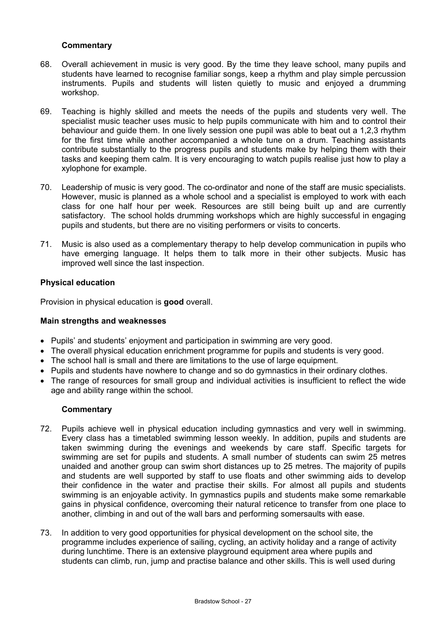# **Commentary**

- 68. Overall achievement in music is very good. By the time they leave school, many pupils and students have learned to recognise familiar songs, keep a rhythm and play simple percussion instruments. Pupils and students will listen quietly to music and enjoyed a drumming workshop.
- 69. Teaching is highly skilled and meets the needs of the pupils and students very well. The specialist music teacher uses music to help pupils communicate with him and to control their behaviour and guide them. In one lively session one pupil was able to beat out a 1,2,3 rhythm for the first time while another accompanied a whole tune on a drum. Teaching assistants contribute substantially to the progress pupils and students make by helping them with their tasks and keeping them calm. It is very encouraging to watch pupils realise just how to play a xylophone for example.
- 70. Leadership of music is very good. The co-ordinator and none of the staff are music specialists. However, music is planned as a whole school and a specialist is employed to work with each class for one half hour per week. Resources are still being built up and are currently satisfactory. The school holds drumming workshops which are highly successful in engaging pupils and students, but there are no visiting performers or visits to concerts.
- 71. Music is also used as a complementary therapy to help develop communication in pupils who have emerging language. It helps them to talk more in their other subjects. Music has improved well since the last inspection.

# **Physical education**

Provision in physical education is **good** overall.

# **Main strengths and weaknesses**

- Pupils' and students' enjoyment and participation in swimming are very good.
- The overall physical education enrichment programme for pupils and students is very good.
- The school hall is small and there are limitations to the use of large equipment.
- Pupils and students have nowhere to change and so do gymnastics in their ordinary clothes.
- The range of resources for small group and individual activities is insufficient to reflect the wide age and ability range within the school.

- 72. Pupils achieve well in physical education including gymnastics and very well in swimming. Every class has a timetabled swimming lesson weekly. In addition, pupils and students are taken swimming during the evenings and weekends by care staff. Specific targets for swimming are set for pupils and students. A small number of students can swim 25 metres unaided and another group can swim short distances up to 25 metres. The majority of pupils and students are well supported by staff to use floats and other swimming aids to develop their confidence in the water and practise their skills. For almost all pupils and students swimming is an enjoyable activity. In gymnastics pupils and students make some remarkable gains in physical confidence, overcoming their natural reticence to transfer from one place to another, climbing in and out of the wall bars and performing somersaults with ease.
- 73. In addition to very good opportunities for physical development on the school site, the programme includes experience of sailing, cycling, an activity holiday and a range of activity during lunchtime. There is an extensive playground equipment area where pupils and students can climb, run, jump and practise balance and other skills. This is well used during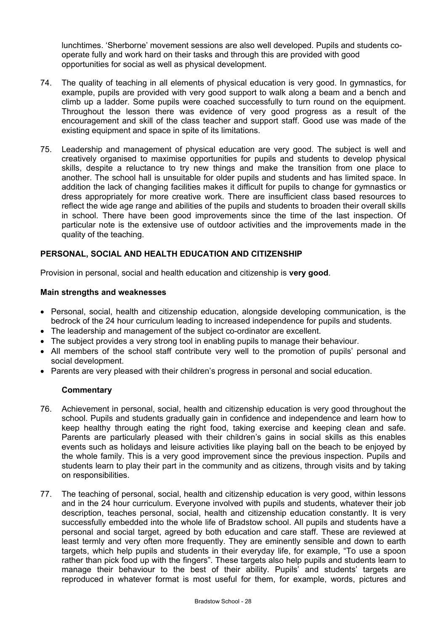lunchtimes. 'Sherborne' movement sessions are also well developed. Pupils and students cooperate fully and work hard on their tasks and through this are provided with good opportunities for social as well as physical development.

- 74. The quality of teaching in all elements of physical education is very good. In gymnastics, for example, pupils are provided with very good support to walk along a beam and a bench and climb up a ladder. Some pupils were coached successfully to turn round on the equipment. Throughout the lesson there was evidence of very good progress as a result of the encouragement and skill of the class teacher and support staff. Good use was made of the existing equipment and space in spite of its limitations.
- 75. Leadership and management of physical education are very good. The subject is well and creatively organised to maximise opportunities for pupils and students to develop physical skills, despite a reluctance to try new things and make the transition from one place to another. The school hall is unsuitable for older pupils and students and has limited space. In addition the lack of changing facilities makes it difficult for pupils to change for gymnastics or dress appropriately for more creative work. There are insufficient class based resources to reflect the wide age range and abilities of the pupils and students to broaden their overall skills in school. There have been good improvements since the time of the last inspection. Of particular note is the extensive use of outdoor activities and the improvements made in the quality of the teaching.

# **PERSONAL, SOCIAL AND HEALTH EDUCATION AND CITIZENSHIP**

Provision in personal, social and health education and citizenship is **very good**.

#### **Main strengths and weaknesses**

- Personal, social, health and citizenship education, alongside developing communication, is the bedrock of the 24 hour curriculum leading to increased independence for pupils and students.
- The leadership and management of the subject co-ordinator are excellent.
- The subiect provides a very strong tool in enabling pupils to manage their behaviour.
- All members of the school staff contribute very well to the promotion of pupils' personal and social development.
- Parents are very pleased with their children's progress in personal and social education.

- 76. Achievement in personal, social, health and citizenship education is very good throughout the school. Pupils and students gradually gain in confidence and independence and learn how to keep healthy through eating the right food, taking exercise and keeping clean and safe. Parents are particularly pleased with their children's gains in social skills as this enables events such as holidays and leisure activities like playing ball on the beach to be enjoyed by the whole family. This is a very good improvement since the previous inspection. Pupils and students learn to play their part in the community and as citizens, through visits and by taking on responsibilities.
- 77. The teaching of personal, social, health and citizenship education is very good, within lessons and in the 24 hour curriculum. Everyone involved with pupils and students, whatever their job description, teaches personal, social, health and citizenship education constantly. It is very successfully embedded into the whole life of Bradstow school. All pupils and students have a personal and social target, agreed by both education and care staff. These are reviewed at least termly and very often more frequently. They are eminently sensible and down to earth targets, which help pupils and students in their everyday life, for example, "To use a spoon rather than pick food up with the fingers". These targets also help pupils and students learn to manage their behaviour to the best of their ability. Pupils' and students' targets are reproduced in whatever format is most useful for them, for example, words, pictures and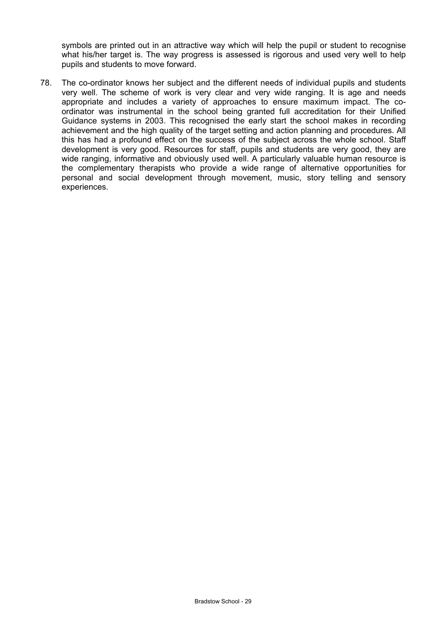symbols are printed out in an attractive way which will help the pupil or student to recognise what his/her target is. The way progress is assessed is rigorous and used very well to help pupils and students to move forward.

78. The co-ordinator knows her subject and the different needs of individual pupils and students very well. The scheme of work is very clear and very wide ranging. It is age and needs appropriate and includes a variety of approaches to ensure maximum impact. The coordinator was instrumental in the school being granted full accreditation for their Unified Guidance systems in 2003. This recognised the early start the school makes in recording achievement and the high quality of the target setting and action planning and procedures. All this has had a profound effect on the success of the subject across the whole school. Staff development is very good. Resources for staff, pupils and students are very good, they are wide ranging, informative and obviously used well. A particularly valuable human resource is the complementary therapists who provide a wide range of alternative opportunities for personal and social development through movement, music, story telling and sensory experiences.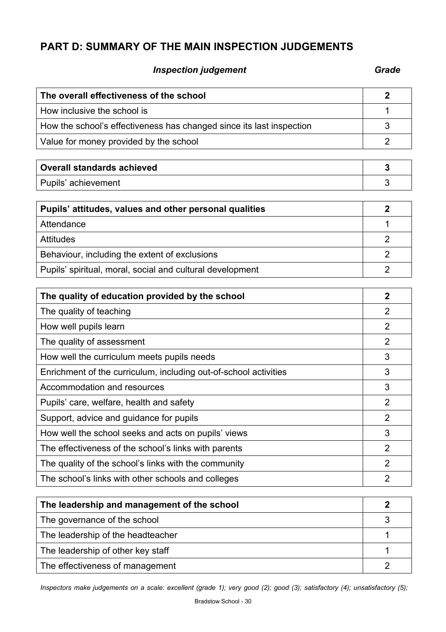# **PART D: SUMMARY OF THE MAIN INSPECTION JUDGEMENTS**

# **Inspection judgement** Grade **Grade**

| The overall effectiveness of the school                              | $\mathbf{2}$   |
|----------------------------------------------------------------------|----------------|
| How inclusive the school is                                          | 1              |
| How the school's effectiveness has changed since its last inspection | 3              |
| Value for money provided by the school                               | $\overline{2}$ |
|                                                                      |                |
| <b>Overall standards achieved</b>                                    | 3              |
| Pupils' achievement                                                  | 3              |
| Pupils' attitudes, values and other personal qualities               | $\overline{2}$ |
| Attendance                                                           | 1              |
| <b>Attitudes</b>                                                     | $\overline{2}$ |
| Behaviour, including the extent of exclusions                        | $\overline{2}$ |
| Pupils' spiritual, moral, social and cultural development            | $\overline{2}$ |
| The quality of education provided by the school                      | $\mathbf{2}$   |
| The quality of teaching                                              | $\overline{2}$ |
| How well pupils learn                                                | $\overline{2}$ |
| The quality of assessment                                            | $\overline{2}$ |
| How well the curriculum meets pupils needs                           | 3              |
| Enrichment of the curriculum, including out-of-school activities     | 3              |
| Accommodation and resources                                          | 3              |
| Pupils' care, welfare, health and safety                             | $\overline{2}$ |
| Support, advice and guidance for pupils                              | $\overline{2}$ |
| How well the school seeks and acts on pupils' views                  | 3              |
| The effectiveness of the school's links with parents                 | $\overline{2}$ |
| The quality of the school's links with the community                 | $\overline{2}$ |
| The school's links with other schools and colleges                   | $\overline{2}$ |
|                                                                      |                |

| The leadership and management of the school |  |
|---------------------------------------------|--|
| The governance of the school                |  |
| The leadership of the headteacher           |  |
| The leadership of other key staff           |  |
| The effectiveness of management             |  |

*Inspectors make judgements on a scale: excellent (grade 1); very good (2); good (3); satisfactory (4); unsatisfactory (5);*